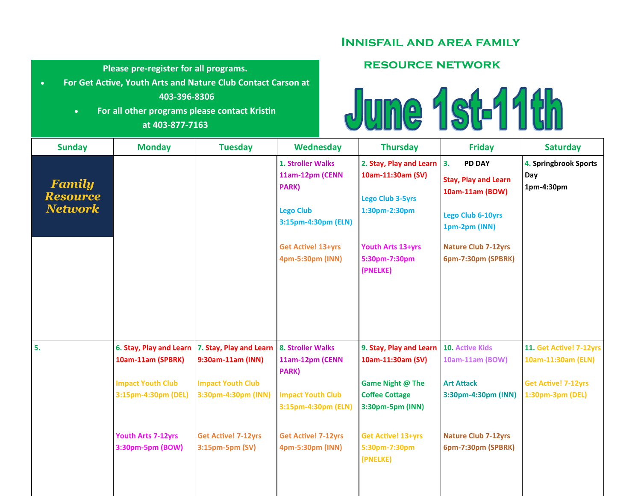### **Innisfail and area family**

**Please pre-register for all programs.**

- **For Get Active, Youth Arts and Nature Club Contact Carson at 403-396-8306** 
	- **For all other programs please contact Kristin**

#### **at 403-877-7163**

### **resource network**



| <b>Sunday</b>                                      | <b>Monday</b>                                                                                    | <b>Tuesday</b>                                                                                   | Wednesday                                                                                                                                 | <b>Thursday</b>                                                                                                                  | <b>Friday</b>                                                                                                                                                   | <b>Saturday</b>                                |
|----------------------------------------------------|--------------------------------------------------------------------------------------------------|--------------------------------------------------------------------------------------------------|-------------------------------------------------------------------------------------------------------------------------------------------|----------------------------------------------------------------------------------------------------------------------------------|-----------------------------------------------------------------------------------------------------------------------------------------------------------------|------------------------------------------------|
| <b>Family</b><br><b>Resource</b><br><b>Network</b> |                                                                                                  |                                                                                                  | 1. Stroller Walks<br>11am-12pm (CENN<br>PARK)<br><b>Lego Club</b><br>3:15pm-4:30pm (ELN)<br><b>Get Active! 13+yrs</b><br>4pm-5:30pm (INN) | 2. Stay, Play and Learn<br>10am-11:30am (SV)<br><b>Lego Club 3-5yrs</b><br>$1:30pm-2:30pm$<br>Youth Arts 13+yrs<br>5:30pm-7:30pm | 3.<br><b>PD DAY</b><br><b>Stay, Play and Learn</b><br>10am-11am (BOW)<br>Lego Club 6-10yrs<br>1pm-2pm (INN)<br><b>Nature Club 7-12yrs</b><br>6pm-7:30pm (SPBRK) | 4. Springbrook Sports<br>Day<br>1pm-4:30pm     |
| 5.                                                 | 6. Stay, Play and Learn<br>10am-11am (SPBRK)                                                     | 7. Stay, Play and Learn   8. Stroller Walks<br>9:30am-11am (INN)                                 | 11am-12pm (CENN<br><b>PARK</b> )                                                                                                          | (PNELKE)<br>9. Stay, Play and Learn<br>10am-11:30am (SV)                                                                         | 10. Active Kids<br>10am-11am (BOW)                                                                                                                              | 11. Get Active! 7-12yrs<br>10am-11:30am (ELN)  |
|                                                    | <b>Impact Youth Club</b><br>3:15pm-4:30pm (DEL)<br><b>Youth Arts 7-12yrs</b><br>3:30pm-5pm (BOW) | <b>Impact Youth Club</b><br>3:30pm-4:30pm (INN)<br><b>Get Active! 7-12yrs</b><br>3:15pm-5pm (SV) | <b>Impact Youth Club</b><br>3:15pm-4:30pm (ELN)<br><b>Get Active! 7-12yrs</b><br>4pm-5:30pm (INN)                                         | Game Night @ The<br><b>Coffee Cottage</b><br>3:30pm-5pm (INN)<br><b>Get Active! 13+yrs</b><br>5:30pm-7:30pm<br>(PNELKE)          | <b>Art Attack</b><br>3:30pm-4:30pm (INN)<br><b>Nature Club 7-12yrs</b><br>6pm-7:30pm (SPBRK)                                                                    | <b>Get Active! 7-12yrs</b><br>1:30pm-3pm (DEL) |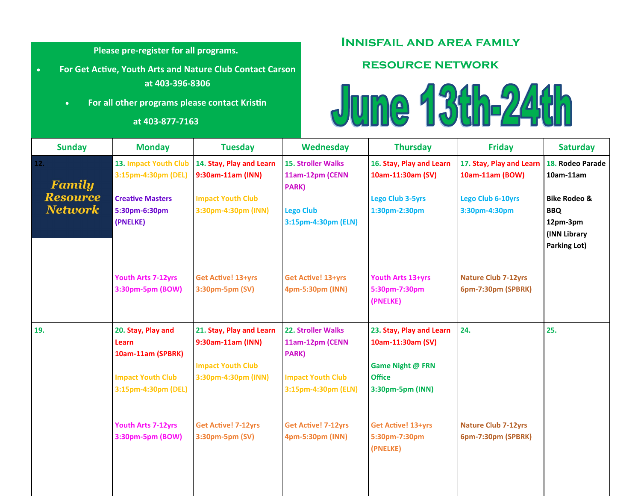#### **Please pre-register for all programs.**

- **For Get Active, Youth Arts and Nature Club Contact Carson at 403-396-8306** 
	- **For all other programs please contact Kristin**

#### **at 403-877-7163**

### **Innisfail and area family**

### **resource network**



| <b>Sunday</b>                     | <b>Monday</b>                                        | <b>Tuesday</b>                                                            | Wednesday                                                    | <b>Thursday</b>                                                          | <b>Friday</b>                                    | <b>Saturday</b>                                                                          |
|-----------------------------------|------------------------------------------------------|---------------------------------------------------------------------------|--------------------------------------------------------------|--------------------------------------------------------------------------|--------------------------------------------------|------------------------------------------------------------------------------------------|
| 12.<br><b>Family</b>              | 13. Impact Youth Club<br>3:15pm-4:30pm (DEL)         | 14. Stay, Play and Learn<br>9:30am-11am (INN)                             | 15. Stroller Walks<br>11am-12pm (CENN<br><b>PARK)</b>        | 16. Stay, Play and Learn<br>10am-11:30am (SV)                            | 17. Stay, Play and Learn<br>10am-11am (BOW)      | 18. Rodeo Parade<br>$10am-11am$                                                          |
| <b>Resource</b><br><b>Network</b> | <b>Creative Masters</b><br>5:30pm-6:30pm<br>(PNELKE) | <b>Impact Youth Club</b><br>3:30pm-4:30pm (INN)                           | <b>Lego Club</b><br>3:15pm-4:30pm (ELN)                      | <b>Lego Club 3-5yrs</b><br>1:30pm-2:30pm                                 | Lego Club 6-10yrs<br>3:30pm-4:30pm               | <b>Bike Rodeo &amp;</b><br><b>BBQ</b><br>12pm-3pm<br>(INN Library<br><b>Parking Lot)</b> |
|                                   | <b>Youth Arts 7-12yrs</b><br>3:30pm-5pm (BOW)        | Get Active! 13+yrs<br>3:30pm-5pm (SV)                                     | Get Active! 13+yrs<br>4pm-5:30pm (INN)                       | Youth Arts 13+yrs<br>5:30pm-7:30pm<br>(PNELKE)                           | <b>Nature Club 7-12yrs</b><br>6pm-7:30pm (SPBRK) |                                                                                          |
| 19.                               | 20. Stay, Play and<br>Learn<br>10am-11am (SPBRK)     | 21. Stay, Play and Learn<br>9:30am-11am (INN)<br><b>Impact Youth Club</b> | <b>22. Stroller Walks</b><br>11am-12pm (CENN<br><b>PARK)</b> | 23. Stay, Play and Learn<br>10am-11:30am (SV)<br><b>Game Night @ FRN</b> | 24.                                              | 25.                                                                                      |
|                                   | <b>Impact Youth Club</b><br>3:15pm-4:30pm (DEL)      | 3:30pm-4:30pm (INN)                                                       | <b>Impact Youth Club</b><br>3:15pm-4:30pm (ELN)              | <b>Office</b><br>3:30pm-5pm (INN)                                        |                                                  |                                                                                          |
|                                   | <b>Youth Arts 7-12yrs</b><br>3:30pm-5pm (BOW)        | <b>Get Active! 7-12yrs</b><br>3:30pm-5pm (SV)                             | <b>Get Active! 7-12yrs</b><br>4pm-5:30pm (INN)               | Get Active! 13+yrs<br>5:30pm-7:30pm<br>(PNELKE)                          | <b>Nature Club 7-12yrs</b><br>6pm-7:30pm (SPBRK) |                                                                                          |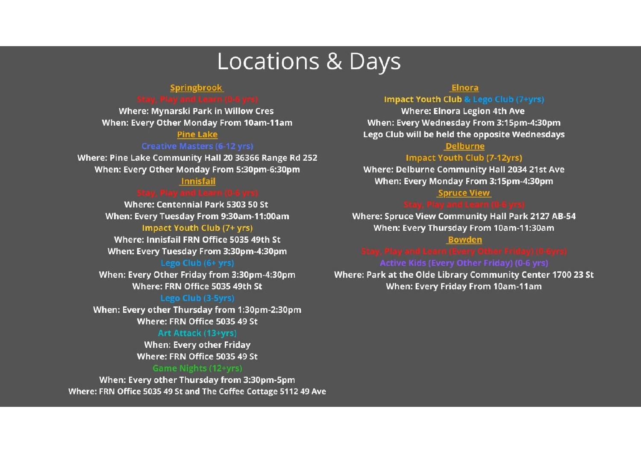## **Locations & Days**

#### Springbrook

**Where: Mynarski Park in Willow Cres** When: Every Other Monday From 10am-11am

### **Pine Lake**

Where: Pine Lake Community Hall 20 36366 Range Rd 252 When: Every Other Monday From 5:30pm-6:30pm

#### **Innisfail**

Where: Centennial Park 5303 50 St When: Every Tuesday From 9:30am-11:00am

### Impact Youth Club (7+ yrs)

Where: Innisfail FRN Office 5035 49th St When: Every Tuesday From 3:30pm-4:30pm

#### Lego Club (6+ yrs)

When: Every Other Friday from 3:30pm-4:30pm Where: FRN Office 5035 49th St

When: Every other Thursday from 1:30pm-2:30pm Where: FRN Office 5035 49 St

### Art Attack (13+yrs)

**When: Every other Friday** Where: FRN Office 5035 49 St

#### Game Nights (12+yrs)

When: Every other Thursday from 3:30pm-5pm Where: FRN Office 5035 49 St and The Coffee Cottage 5112 49 Ave

#### Elnora

#### Impact Youth Club & Lego Club (7+yrs)

**Where: Elnora Legion 4th Ave** When: Every Wednesday From 3:15pm-4:30pm Lego Club will be held the opposite Wednesdays

#### **Delburne**

### **Impact Youth Club (7-12yrs)**

Where: Delburne Community Hall 2034 21st Ave When: Every Monday From 3:15pm-4:30pm **Spruce View** 

Where: Spruce View Community Hall Park 2127 AB-54 When: Every Thursday From 10am-11:30am

#### **Bowden**

Where: Park at the Olde Library Community Center 1700 23 St When: Every Friday From 10am-11am